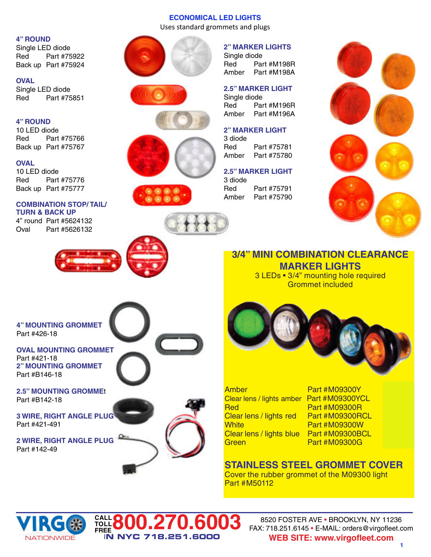# **ECONOMICAL LED LIGHTS**

Uses standard grommets and plugs

# **4" ROUND**

Single LED diode Red Part #75922 Back up Part #75924

### **OVAL**

Single LED diode Red Part #75851

### **4" ROUND**

10 LED diode Red Part #75766 Back up Part #75767

## **OVAL**

10 LED diode Red Part #75776 Back up Part #75777

### **COMBINATION STOP/ TAIL/ TURN & BACK UP**

4" round Part #5624132 Oval Part #5626132













# **2" MARKER LIGHTS**

Single diode Red Part #M198R Amber Part #M198A

### **2.5" MARKER LIGHT** Single diode Red Part #M196R Amber Part #M196A

# **2" MARKER LIGHT**

3 diode Red Part #75781<br>Amber Part #75780 Part #75780

#### **2.5" MARKER LIGHT** 3 diode

Red Part #75791 Amber Part #75790



# **3/4" MINI COMBINATION CLEARANCE MARKER LIGHTS**

3 LEDs • 3/4" mounting hole required Grommet included



**FREE800.270.6003**

I**N NYC 718.251.6000**



Amber Part #M09300Y **\$8.95** Clear lens / lights amber Part #M09300YCL **\$8.95 Red Part #M09300R** Clear lens / lights red Part #M09300RCL **\$8.95 White Part #M09300W** Clear lens / lights blue Part #M09300BCL **\$10.49 Green 19.49 Bart #M09300G** 

# **STAINLESS STEEL GROMMET COVER**

Cover the rubber grommet of the M09300 light Part #M50112



**CALL TOLL**

8520 FOSTER AVE • BROOKLYN, NY 11236 FAX: 718.251.6145 • E-MAIL: orders@virgofleet.com **WEB SITE: www.virgofleet.com**